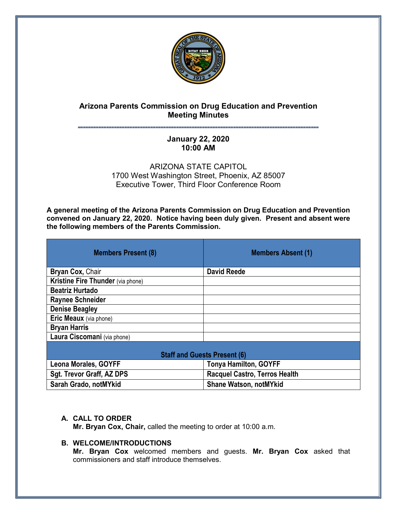

# **Arizona Parents Commission on Drug Education and Prevention Meeting Minutes**

## **˭˭˭˭˭˭˭˭˭˭˭˭˭˭˭˭˭˭˭˭˭˭˭˭˭˭˭˭˭˭˭˭˭˭˭˭˭˭˭˭˭˭˭˭˭˭˭˭˭˭˭˭˭˭˭˭˭˭˭˭˭˭˭˭˭˭˭˭˭˭˭˭˭˭˭˭˭˭˭˭˭˭˭˭˭˭˭˭˭˭˭˭˭ January 22, 2020 10:00 AM**

ARIZONA STATE CAPITOL 1700 West Washington Street, Phoenix, AZ 85007 Executive Tower, Third Floor Conference Room

**A general meeting of the Arizona Parents Commission on Drug Education and Prevention convened on January 22, 2020. Notice having been duly given. Present and absent were the following members of the Parents Commission.**

| <b>Members Present (8)</b>               | <b>Members Absent (1)</b> |
|------------------------------------------|---------------------------|
| Bryan Cox, Chair                         | <b>David Reede</b>        |
| <b>Kristine Fire Thunder (via phone)</b> |                           |
| <b>Beatriz Hurtado</b>                   |                           |
| <b>Raynee Schneider</b>                  |                           |
| <b>Denise Beagley</b>                    |                           |
| Eric Meaux (via phone)                   |                           |
| <b>Bryan Harris</b>                      |                           |
| Laura Ciscomani (via phone)              |                           |
| <b>Staff and Guests Present (6)</b>      |                           |

| <b>Staff and Guests Present (6)</b> |                                      |
|-------------------------------------|--------------------------------------|
| <b>Leona Morales, GOYFF</b>         | <b>Tonya Hamilton, GOYFF</b>         |
| <b>Sgt. Trevor Graff, AZ DPS</b>    | <b>Racquel Castro, Terros Health</b> |
| Sarah Grado, notMYkid               | <b>Shane Watson, notMYkid</b>        |

## **A. CALL TO ORDER**

**Mr. Bryan Cox, Chair,** called the meeting to order at 10:00 a.m.

# **B. WELCOME/INTRODUCTIONS**

**Mr. Bryan Cox** welcomed members and guests. **Mr. Bryan Cox** asked that commissioners and staff introduce themselves.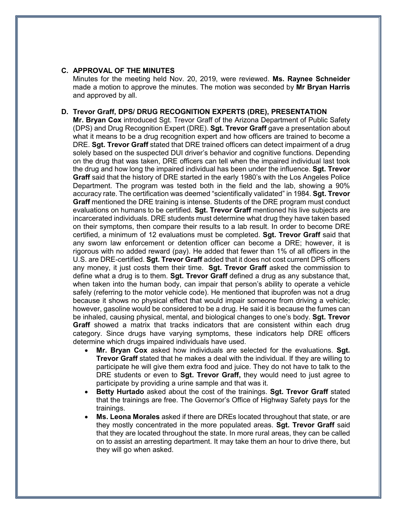### **C. APPROVAL OF THE MINUTES**

Minutes for the meeting held Nov. 20, 2019, were reviewed. **Ms. Raynee Schneider** made a motion to approve the minutes. The motion was seconded by **Mr Bryan Harris** and approved by all.

### **D. Trevor Graff, DPS/ DRUG RECOGNITION EXPERTS (DRE), PRESENTATION**

**Mr. Bryan Cox** introduced Sgt. Trevor Graff of the Arizona Department of Public Safety (DPS) and Drug Recognition Expert (DRE). **Sgt. Trevor Graff** gave a presentation about what it means to be a drug recognition expert and how officers are trained to become a DRE. **Sgt. Trevor Graff** stated that DRE trained officers can detect impairment of a drug solely based on the suspected DUI driver's behavior and cognitive functions. Depending on the drug that was taken, DRE officers can tell when the impaired individual last took the drug and how long the impaired individual has been under the influence. **Sgt. Trevor Graff** said that the history of DRE started in the early 1980's with the Los Angeles Police Department. The program was tested both in the field and the lab, showing a 90% accuracy rate. The certification was deemed "scientifically validated" in 1984. **Sgt. Trevor Graff** mentioned the DRE training is intense. Students of the DRE program must conduct evaluations on humans to be certified. **Sgt. Trevor Graff** mentioned his live subjects are incarcerated individuals. DRE students must determine what drug they have taken based on their symptoms, then compare their results to a lab result. In order to become DRE certified, a minimum of 12 evaluations must be completed. **Sgt. Trevor Graff** said that any sworn law enforcement or detention officer can become a DRE; however, it is rigorous with no added reward (pay). He added that fewer than 1% of all officers in the U.S. are DRE-certified. **Sgt. Trevor Graff** added that it does not cost current DPS officers any money, it just costs them their time. **Sgt. Trevor Graff** asked the commission to define what a drug is to them. **Sgt. Trevor Graff** defined a drug as any substance that, when taken into the human body, can impair that person's ability to operate a vehicle safely (referring to the motor vehicle code). He mentioned that ibuprofen was not a drug because it shows no physical effect that would impair someone from driving a vehicle; however, gasoline would be considered to be a drug. He said it is because the fumes can be inhaled, causing physical, mental, and biological changes to one's body. **Sgt. Trevor Graff** showed a matrix that tracks indicators that are consistent within each drug category. Since drugs have varying symptoms, these indicators help DRE officers determine which drugs impaired individuals have used.

- **Mr. Bryan Cox** asked how individuals are selected for the evaluations. **Sgt. Trevor Graff** stated that he makes a deal with the individual. If they are willing to participate he will give them extra food and juice. They do not have to talk to the DRE students or even to **Sgt. Trevor Graff,** they would need to just agree to participate by providing a urine sample and that was it.
- **Betty Hurtado** asked about the cost of the trainings. **Sgt. Trevor Graff** stated that the trainings are free. The Governor's Office of Highway Safety pays for the trainings.
- **Ms. Leona Morales** asked if there are DREs located throughout that state, or are they mostly concentrated in the more populated areas. **Sgt. Trevor Graff** said that they are located throughout the state. In more rural areas, they can be called on to assist an arresting department. It may take them an hour to drive there, but they will go when asked.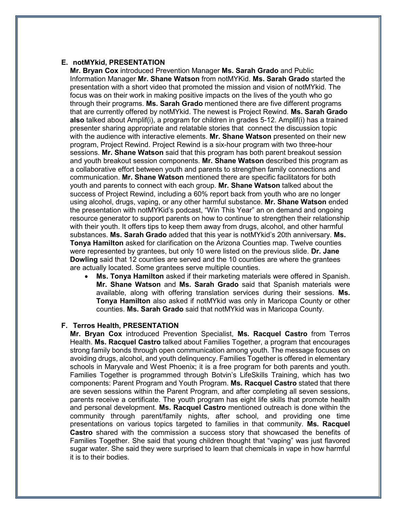## **E. notMYkid, PRESENTATION**

**Mr. Bryan Cox** introduced Prevention Manager **Ms. Sarah Grado** and Public Information Manager **Mr. Shane Watson** from notMYKid. **Ms. Sarah Grado** started the presentation with a short video that promoted the mission and vision of notMYkid. The focus was on their work in making positive impacts on the lives of the youth who go through their programs. **Ms. Sarah Grado** mentioned there are five different programs that are currently offered by notMYkid. The newest is Project Rewind. **Ms. Sarah Grado also** talked about Amplif(i), a program for children in grades 5-12. Amplif(i) has a trained presenter sharing appropriate and relatable stories that connect the discussion topic with the audience with interactive elements. **Mr. Shane Watson** presented on their new program, Project Rewind. Project Rewind is a six-hour program with two three-hour sessions. **Mr. Shane Watson** said that this program has both parent breakout session and youth breakout session components. **Mr. Shane Watson** described this program as a collaborative effort between youth and parents to strengthen family connections and communication. **Mr. Shane Watson** mentioned there are specific facilitators for both youth and parents to connect with each group. **Mr. Shane Watson** talked about the success of Project Rewind, including a 60% report back from youth who are no longer using alcohol, drugs, vaping, or any other harmful substance. **Mr. Shane Watson** ended the presentation with notMYKid's podcast, "Win This Year" an on demand and ongoing resource generator to support parents on how to continue to strengthen their relationship with their youth. It offers tips to keep them away from drugs, alcohol, and other harmful substances. **Ms. Sarah Grado** added that this year is notMYkid's 20th anniversary. **Ms. Tonya Hamilton** asked for clarification on the Arizona Counties map. Twelve counties were represented by grantees, but only 10 were listed on the previous slide. **Dr. Jane Dowling** said that 12 counties are served and the 10 counties are where the grantees are actually located. Some grantees serve multiple counties.

• **Ms. Tonya Hamilton** asked if their marketing materials were offered in Spanish. **Mr. Shane Watson** and **Ms. Sarah Grado** said that Spanish materials were available, along with offering translation services during their sessions. **Ms. Tonya Hamilton** also asked if notMYkid was only in Maricopa County or other counties. **Ms. Sarah Grado** said that notMYkid was in Maricopa County.

### **F. Terros Health, PRESENTATION**

**Mr. Bryan Cox** introduced Prevention Specialist, **Ms. Racquel Castro** from Terros Health. **Ms. Racquel Castro** talked about Families Together, a program that encourages strong family bonds through open communication among youth. The message focuses on avoiding drugs, alcohol, and youth delinquency. Families Together is offered in elementary schools in Maryvale and West Phoenix; it is a free program for both parents and youth. Families Together is programmed through Botvin's LifeSkills Training, which has two components: Parent Program and Youth Program. **Ms. Racquel Castro** stated that there are seven sessions within the Parent Program, and after completing all seven sessions, parents receive a certificate. The youth program has eight life skills that promote health and personal development. **Ms. Racquel Castro** mentioned outreach is done within the community through parent/family nights, after school, and providing one time presentations on various topics targeted to families in that community. **Ms. Racquel Castro** shared with the commission a success story that showcased the benefits of Families Together. She said that young children thought that "vaping" was just flavored sugar water. She said they were surprised to learn that chemicals in vape in how harmful it is to their bodies.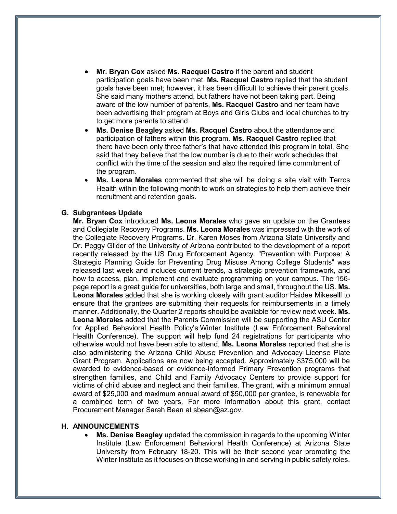- **Mr. Bryan Cox** asked **Ms. Racquel Castro** if the parent and student participation goals have been met. **Ms. Racquel Castro** replied that the student goals have been met; however, it has been difficult to achieve their parent goals. She said many mothers attend, but fathers have not been taking part. Being aware of the low number of parents, **Ms. Racquel Castro** and her team have been advertising their program at Boys and Girls Clubs and local churches to try to get more parents to attend.
- **Ms. Denise Beagley** asked **Ms. Racquel Castro** about the attendance and participation of fathers within this program. **Ms. Racquel Castro** replied that there have been only three father's that have attended this program in total. She said that they believe that the low number is due to their work schedules that conflict with the time of the session and also the required time commitment of the program.
- **Ms. Leona Morales** commented that she will be doing a site visit with Terros Health within the following month to work on strategies to help them achieve their recruitment and retention goals.

### **G. Subgrantees Update**

**Mr. Bryan Cox** introduced **Ms. Leona Morales** who gave an update on the Grantees and Collegiate Recovery Programs. **Ms. Leona Morales** was impressed with the work of the Collegiate Recovery Programs. Dr. Karen Moses from Arizona State University and Dr. Peggy Glider of the University of Arizona contributed to the development of a report recently released by the US Drug Enforcement Agency. "Prevention with Purpose: A Strategic Planning Guide for Preventing Drug Misuse Among College Students" was released last week and includes current trends, a strategic prevention framework, and how to access, plan, implement and evaluate programming on your campus. The 156 page report is a great guide for universities, both large and small, throughout the US. **Ms. Leona Morales** added that she is working closely with grant auditor Haidee Mikeselll to ensure that the grantees are submitting their requests for reimbursements in a timely manner. Additionally, the Quarter 2 reports should be available for review next week. **Ms. Leona Morales** added that the Parents Commission will be supporting the ASU Center for Applied Behavioral Health Policy's Winter Institute (Law Enforcement Behavioral Health Conference). The support will help fund 24 registrations for participants who otherwise would not have been able to attend. **Ms. Leona Morales** reported that she is also administering the Arizona Child Abuse Prevention and Advocacy License Plate Grant Program. Applications are now being accepted. Approximately \$375,000 will be awarded to evidence-based or evidence-informed Primary Prevention programs that strengthen families, and Child and Family Advocacy Centers to provide support for victims of child abuse and neglect and their families. The grant, with a minimum annual award of \$25,000 and maximum annual award of \$50,000 per grantee, is renewable for a combined term of two years. For more information about this grant, contact Procurement Manager Sarah Bean at sbean@az.gov.

#### **H. ANNOUNCEMENTS**

• **Ms. Denise Beagley** updated the commission in regards to the upcoming Winter Institute (Law Enforcement Behavioral Health Conference) at Arizona State University from February 18-20. This will be their second year promoting the Winter Institute as it focuses on those working in and serving in public safety roles.